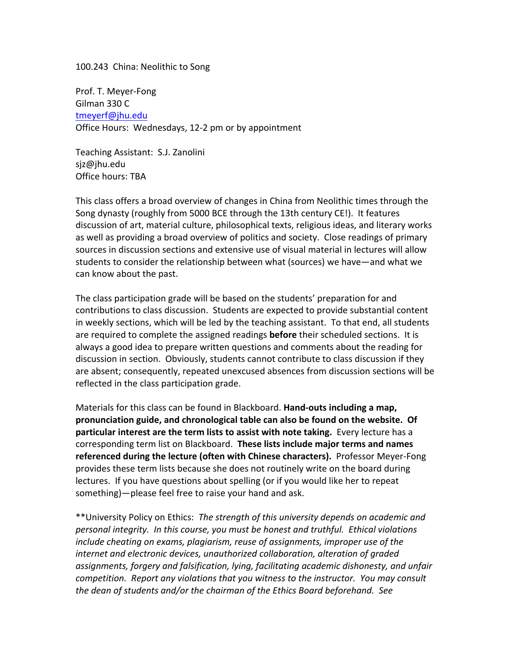100.243 China: Neolithic to Song

Prof. T. Meyer-Fong Gilman 330 C tmeyerf@jhu.edu Office Hours: Wednesdays, 12-2 pm or by appointment

Teaching Assistant: S.J. Zanolini sjz@jhu.edu Office hours: TBA

This class offers a broad overview of changes in China from Neolithic times through the Song dynasty (roughly from 5000 BCE through the 13th century CE!). It features discussion of art, material culture, philosophical texts, religious ideas, and literary works as well as providing a broad overview of politics and society. Close readings of primary sources in discussion sections and extensive use of visual material in lectures will allow students to consider the relationship between what (sources) we have—and what we can know about the past.

The class participation grade will be based on the students' preparation for and contributions to class discussion. Students are expected to provide substantial content in weekly sections, which will be led by the teaching assistant. To that end, all students are required to complete the assigned readings **before** their scheduled sections. It is always a good idea to prepare written questions and comments about the reading for discussion in section. Obviously, students cannot contribute to class discussion if they are absent; consequently, repeated unexcused absences from discussion sections will be reflected in the class participation grade.

Materials for this class can be found in Blackboard. **Hand-outs including a map, pronunciation guide, and chronological table can also be found on the website. Of particular interest are the term lists to assist with note taking.** Every lecture has a corresponding term list on Blackboard. **These lists include major terms and names referenced during the lecture (often with Chinese characters).** Professor Meyer-Fong provides these term lists because she does not routinely write on the board during lectures. If you have questions about spelling (or if you would like her to repeat something)—please feel free to raise your hand and ask.

\*\*University Policy on Ethics: *The strength of this university depends on academic and personal integrity. In this course, you must be honest and truthful. Ethical violations include cheating on exams, plagiarism, reuse of assignments, improper use of the internet and electronic devices, unauthorized collaboration, alteration of graded assignments, forgery and falsification, lying, facilitating academic dishonesty, and unfair competition. Report any violations that you witness to the instructor. You may consult the dean of students and/or the chairman of the Ethics Board beforehand. See*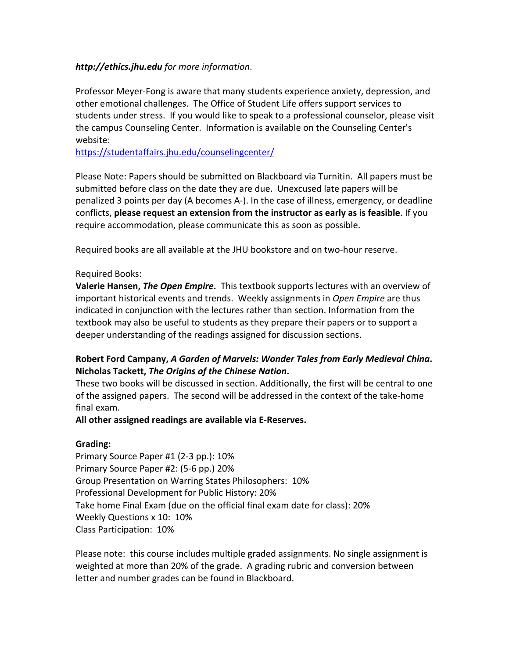### *http://ethics.jhu.edu for more information*.

Professor Meyer-Fong is aware that many students experience anxiety, depression, and other emotional challenges. The Office of Student Life offers support services to students under stress. If you would like to speak to a professional counselor, please visit the campus Counseling Center. Information is available on the Counseling Center's website:

https://studentaffairs.jhu.edu/counselingcenter/

Please Note: Papers should be submitted on Blackboard via Turnitin. All papers must be submitted before class on the date they are due. Unexcused late papers will be penalized 3 points per day (A becomes A-). In the case of illness, emergency, or deadline conflicts, **please request an extension from the instructor as early as is feasible**. If you require accommodation, please communicate this as soon as possible.

Required books are all available at the JHU bookstore and on two-hour reserve.

### Required Books:

**Valerie Hansen,** *The Open Empire***.** This textbook supports lectures with an overview of important historical events and trends. Weekly assignments in *Open Empire* are thus indicated in conjunction with the lectures rather than section. Information from the textbook may also be useful to students as they prepare their papers or to support a deeper understanding of the readings assigned for discussion sections.

# **Robert Ford Campany,** *A Garden of Marvels: Wonder Tales from Early Medieval China***. Nicholas Tackett,** *The Origins of the Chinese Nation***.**

These two books will be discussed in section. Additionally, the first will be central to one of the assigned papers. The second will be addressed in the context of the take-home final exam.

### **All other assigned readings are available via E-Reserves.**

## **Grading:**

Primary Source Paper #1 (2-3 pp.): 10% Primary Source Paper #2: (5-6 pp.) 20% Group Presentation on Warring States Philosophers: 10% Professional Development for Public History: 20% Take home Final Exam (due on the official final exam date for class): 20% Weekly Questions x 10: 10% Class Participation: 10%

Please note: this course includes multiple graded assignments. No single assignment is weighted at more than 20% of the grade. A grading rubric and conversion between letter and number grades can be found in Blackboard.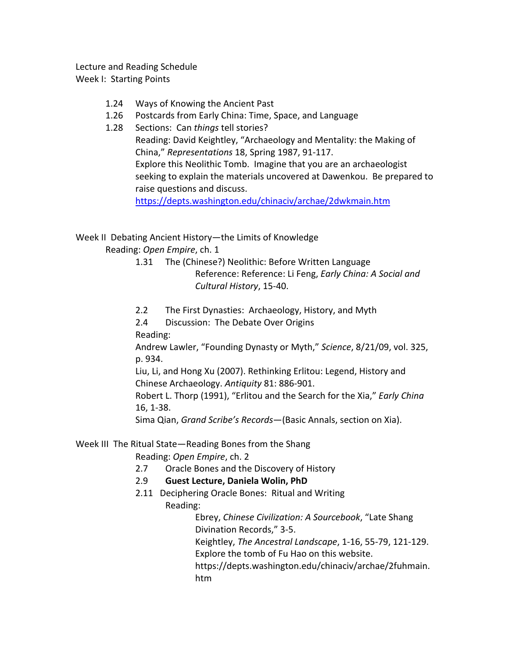Lecture and Reading Schedule Week I: Starting Points

- 1.24 Ways of Knowing the Ancient Past
- 1.26 Postcards from Early China: Time, Space, and Language
- 1.28 Sections: Can *things* tell stories? Reading: David Keightley, "Archaeology and Mentality: the Making of China," *Representations* 18, Spring 1987, 91-117. Explore this Neolithic Tomb. Imagine that you are an archaeologist seeking to explain the materials uncovered at Dawenkou. Be prepared to raise questions and discuss.

https://depts.washington.edu/chinaciv/archae/2dwkmain.htm

## Week II Debating Ancient History—the Limits of Knowledge

Reading: *Open Empire*, ch. 1

- 1.31 The (Chinese?) Neolithic: Before Written Language Reference: Reference: Li Feng, *Early China: A Social and Cultural History*, 15-40.
- 2.2 The First Dynasties: Archaeology, History, and Myth
- 2.4 Discussion: The Debate Over Origins

Reading:

Andrew Lawler, "Founding Dynasty or Myth," *Science*, 8/21/09, vol. 325, p. 934.

Liu, Li, and Hong Xu (2007). Rethinking Erlitou: Legend, History and Chinese Archaeology. *Antiquity* 81: 886-901.

Robert L. Thorp (1991), "Erlitou and the Search for the Xia," *Early China* 16, 1-38.

Sima Qian, *Grand Scribe's Records*—(Basic Annals, section on Xia).

### Week III The Ritual State—Reading Bones from the Shang

Reading: *Open Empire*, ch. 2

2.7 Oracle Bones and the Discovery of History

### 2.9 **Guest Lecture, Daniela Wolin, PhD**

2.11 Deciphering Oracle Bones: Ritual and Writing Reading:

Ebrey, *Chinese Civilization: A Sourcebook*, "Late Shang Divination Records," 3-5. Keightley, *The Ancestral Landscape*, 1-16, 55-79, 121-129. Explore the tomb of Fu Hao on this website. https://depts.washington.edu/chinaciv/archae/2fuhmain. htm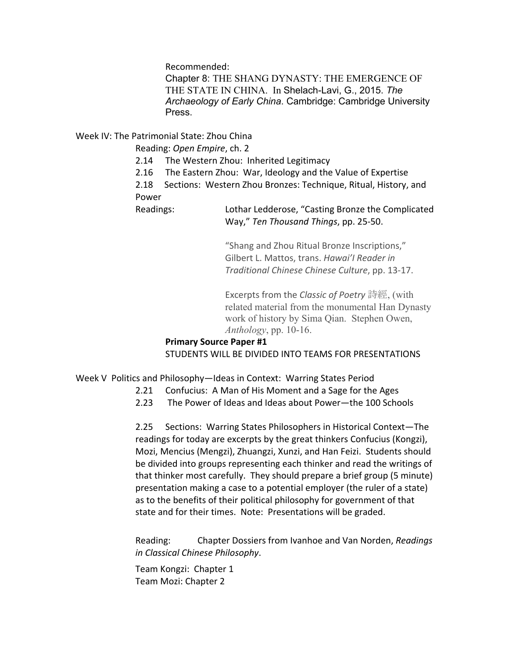Recommended:

Chapter 8: THE SHANG DYNASTY: THE EMERGENCE OF THE STATE IN CHINA. In Shelach-Lavi, G., 2015. *The Archaeology of Early China*. Cambridge: Cambridge University Press.

Week IV: The Patrimonial State: Zhou China

Reading: *Open Empire*, ch. 2

- 2.14 The Western Zhou: Inherited Legitimacy
- 2.16 The Eastern Zhou: War, Ideology and the Value of Expertise

2.18 Sections: Western Zhou Bronzes: Technique, Ritual, History, and Power

Readings: Lothar Ledderose, "Casting Bronze the Complicated Way," *Ten Thousand Things*, pp. 25-50.

> "Shang and Zhou Ritual Bronze Inscriptions," Gilbert L. Mattos, trans. *Hawai'I Reader in Traditional Chinese Chinese Culture*, pp. 13-17.

Excerpts from the *Classic of Poetry* 詩經, (with related material from the monumental Han Dynasty work of history by Sima Qian. Stephen Owen, *Anthology*, pp. 10-16.

### **Primary Source Paper #1** STUDENTS WILL BE DIVIDED INTO TEAMS FOR PRESENTATIONS

Week V Politics and Philosophy—Ideas in Context: Warring States Period

- 2.21 Confucius: A Man of His Moment and a Sage for the Ages
- 2.23 The Power of Ideas and Ideas about Power—the 100 Schools

2.25 Sections: Warring States Philosophers in Historical Context—The readings for today are excerpts by the great thinkers Confucius (Kongzi), Mozi, Mencius (Mengzi), Zhuangzi, Xunzi, and Han Feizi. Students should be divided into groups representing each thinker and read the writings of that thinker most carefully. They should prepare a brief group (5 minute) presentation making a case to a potential employer (the ruler of a state) as to the benefits of their political philosophy for government of that state and for their times. Note: Presentations will be graded.

Reading: Chapter Dossiers from Ivanhoe and Van Norden, *Readings in Classical Chinese Philosophy*.

Team Kongzi: Chapter 1 Team Mozi: Chapter 2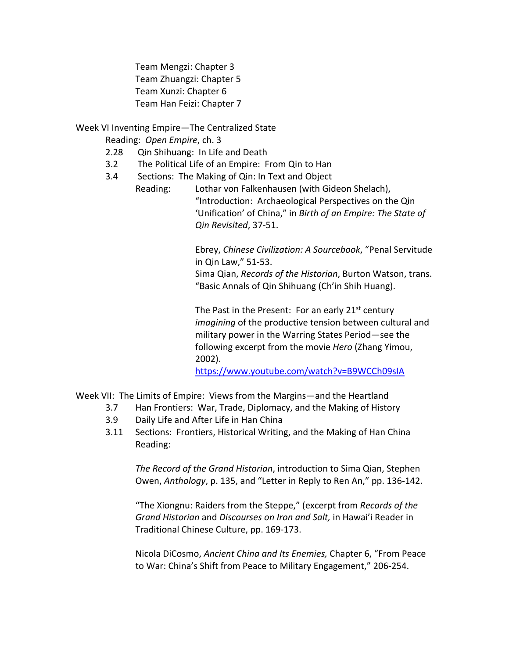Team Mengzi: Chapter 3 Team Zhuangzi: Chapter 5 Team Xunzi: Chapter 6 Team Han Feizi: Chapter 7

Week VI Inventing Empire—The Centralized State

Reading: *Open Empire*, ch. 3

- 2.28 Qin Shihuang: In Life and Death
- 3.2 The Political Life of an Empire: From Qin to Han
- 3.4 Sections: The Making of Qin: In Text and Object

Reading: Lothar von Falkenhausen (with Gideon Shelach), "Introduction: Archaeological Perspectives on the Qin 'Unification' of China," in *Birth of an Empire: The State of Qin Revisited*, 37-51.

> Ebrey, *Chinese Civilization: A Sourcebook*, "Penal Servitude in Qin Law," 51-53.

> Sima Qian, *Records of the Historian*, Burton Watson, trans. "Basic Annals of Qin Shihuang (Ch'in Shih Huang).

The Past in the Present: For an early  $21<sup>st</sup>$  century *imagining* of the productive tension between cultural and military power in the Warring States Period—see the following excerpt from the movie *Hero* (Zhang Yimou, 2002).

https://www.youtube.com/watch?v=B9WCCh09sIA

Week VII: The Limits of Empire: Views from the Margins—and the Heartland

- 3.7 Han Frontiers: War, Trade, Diplomacy, and the Making of History
- 3.9 Daily Life and After Life in Han China
- 3.11 Sections: Frontiers, Historical Writing, and the Making of Han China Reading:

*The Record of the Grand Historian*, introduction to Sima Qian, Stephen Owen, *Anthology*, p. 135, and "Letter in Reply to Ren An," pp. 136-142.

"The Xiongnu: Raiders from the Steppe," (excerpt from *Records of the Grand Historian* and *Discourses on Iron and Salt,* in Hawai'i Reader in Traditional Chinese Culture, pp. 169-173.

Nicola DiCosmo, *Ancient China and Its Enemies,* Chapter 6, "From Peace to War: China's Shift from Peace to Military Engagement," 206-254.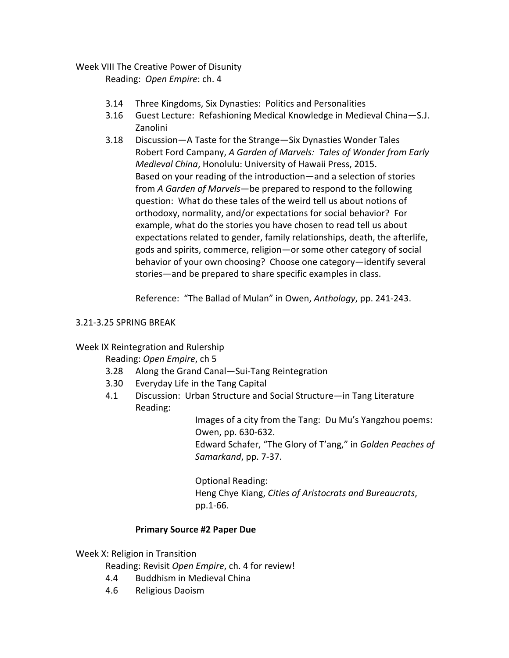## Week VIII The Creative Power of Disunity

Reading: *Open Empire*: ch. 4

- 3.14 Three Kingdoms, Six Dynasties: Politics and Personalities
- 3.16 Guest Lecture: Refashioning Medical Knowledge in Medieval China—S.J. Zanolini
- 3.18 Discussion—A Taste for the Strange—Six Dynasties Wonder Tales Robert Ford Campany, *A Garden of Marvels: Tales of Wonder from Early Medieval China*, Honolulu: University of Hawaii Press, 2015. Based on your reading of the introduction—and a selection of stories from *A Garden of Marvels*—be prepared to respond to the following question: What do these tales of the weird tell us about notions of orthodoxy, normality, and/or expectations for social behavior? For example, what do the stories you have chosen to read tell us about expectations related to gender, family relationships, death, the afterlife, gods and spirits, commerce, religion—or some other category of social behavior of your own choosing? Choose one category—identify several stories—and be prepared to share specific examples in class.

Reference: "The Ballad of Mulan" in Owen, *Anthology*, pp. 241-243.

## 3.21-3.25 SPRING BREAK

## Week IX Reintegration and Rulership

Reading: *Open Empire*, ch 5

- 3.28 Along the Grand Canal—Sui-Tang Reintegration
- 3.30 Everyday Life in the Tang Capital
- 4.1 Discussion: Urban Structure and Social Structure—in Tang Literature Reading:

Images of a city from the Tang: Du Mu's Yangzhou poems: Owen, pp. 630-632.

Edward Schafer, "The Glory of T'ang," in *Golden Peaches of Samarkand*, pp. 7-37.

Optional Reading: Heng Chye Kiang, *Cities of Aristocrats and Bureaucrats*, pp.1-66.

## **Primary Source #2 Paper Due**

Week X: Religion in Transition

Reading: Revisit *Open Empire*, ch. 4 for review!

- 4.4 Buddhism in Medieval China
- 4.6 Religious Daoism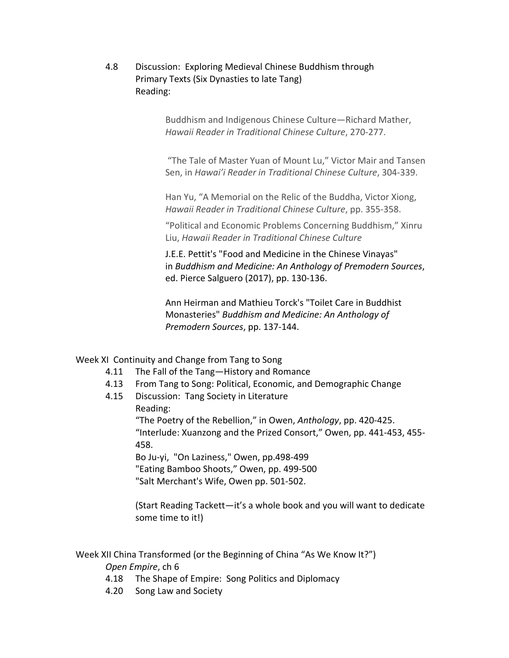4.8 Discussion: Exploring Medieval Chinese Buddhism through Primary Texts (Six Dynasties to late Tang) Reading:

> Buddhism and Indigenous Chinese Culture—Richard Mather, *Hawaii Reader in Traditional Chinese Culture*, 270-277.

"The Tale of Master Yuan of Mount Lu," Victor Mair and Tansen Sen, in *Hawai'i Reader in Traditional Chinese Culture*, 304-339.

Han Yu, "A Memorial on the Relic of the Buddha, Victor Xiong, *Hawaii Reader in Traditional Chinese Culture*, pp. 355-358.

"Political and Economic Problems Concerning Buddhism," Xinru Liu, *Hawaii Reader in Traditional Chinese Culture*

J.E.E. Pettit's "Food and Medicine in the Chinese Vinayas" in *Buddhism and Medicine: An Anthology of Premodern Sources*, ed. Pierce Salguero (2017), pp. 130-136.

Ann Heirman and Mathieu Torck's "Toilet Care in Buddhist Monasteries" *Buddhism and Medicine: An Anthology of Premodern Sources*, pp. 137-144.

Week XI Continuity and Change from Tang to Song

- 4.11 The Fall of the Tang—History and Romance
- 4.13 From Tang to Song: Political, Economic, and Demographic Change
- 4.15 Discussion: Tang Society in Literature Reading:

"The Poetry of the Rebellion," in Owen, *Anthology*, pp. 420-425. "Interlude: Xuanzong and the Prized Consort," Owen, pp. 441-453, 455- 458.

Bo Ju-yi, "On Laziness," Owen, pp.498-499 "Eating Bamboo Shoots," Owen, pp. 499-500 "Salt Merchant's Wife, Owen pp. 501-502.

(Start Reading Tackett—it's a whole book and you will want to dedicate some time to it!)

### Week XII China Transformed (or the Beginning of China "As We Know It?")

*Open Empire*, ch 6

- 4.18 The Shape of Empire: Song Politics and Diplomacy
- 4.20 Song Law and Society